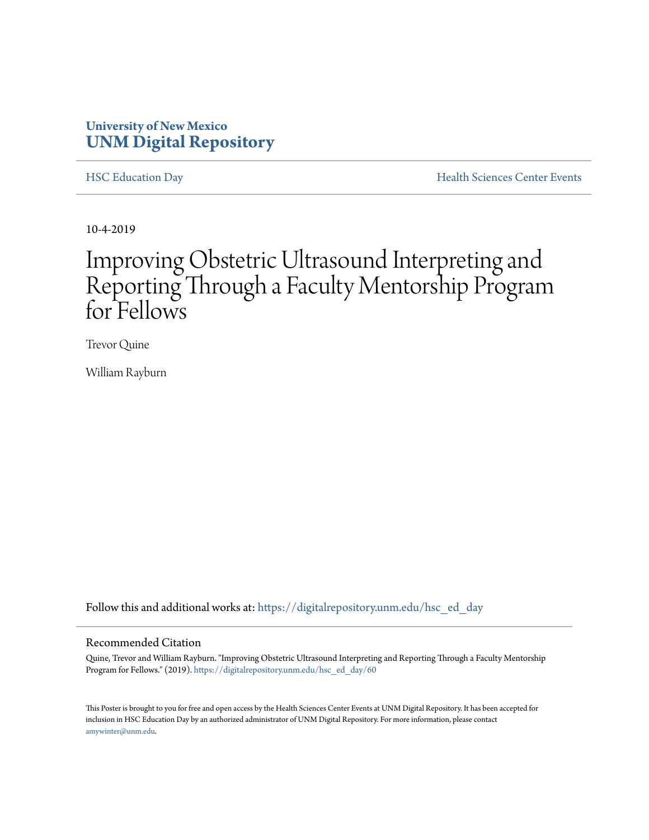### **University of New Mexico [UNM Digital Repository](https://digitalrepository.unm.edu/?utm_source=digitalrepository.unm.edu%2Fhsc_ed_day%2F60&utm_medium=PDF&utm_campaign=PDFCoverPages)**

[HSC Education Day](https://digitalrepository.unm.edu/hsc_ed_day?utm_source=digitalrepository.unm.edu%2Fhsc_ed_day%2F60&utm_medium=PDF&utm_campaign=PDFCoverPages) **[Health Sciences Center Events](https://digitalrepository.unm.edu/hsc_events?utm_source=digitalrepository.unm.edu%2Fhsc_ed_day%2F60&utm_medium=PDF&utm_campaign=PDFCoverPages)** 

10-4-2019

### Improving Obstetric Ultrasound Interpreting and Reporting Through a Faculty Mentorship Program for Fellows

Trevor Quine

William Rayburn

Follow this and additional works at: [https://digitalrepository.unm.edu/hsc\\_ed\\_day](https://digitalrepository.unm.edu/hsc_ed_day?utm_source=digitalrepository.unm.edu%2Fhsc_ed_day%2F60&utm_medium=PDF&utm_campaign=PDFCoverPages)

### Recommended Citation

Quine, Trevor and William Rayburn. "Improving Obstetric Ultrasound Interpreting and Reporting Through a Faculty Mentorship Program for Fellows." (2019). [https://digitalrepository.unm.edu/hsc\\_ed\\_day/60](https://digitalrepository.unm.edu/hsc_ed_day/60?utm_source=digitalrepository.unm.edu%2Fhsc_ed_day%2F60&utm_medium=PDF&utm_campaign=PDFCoverPages)

This Poster is brought to you for free and open access by the Health Sciences Center Events at UNM Digital Repository. It has been accepted for inclusion in HSC Education Day by an authorized administrator of UNM Digital Repository. For more information, please contact [amywinter@unm.edu](mailto:amywinter@unm.edu).